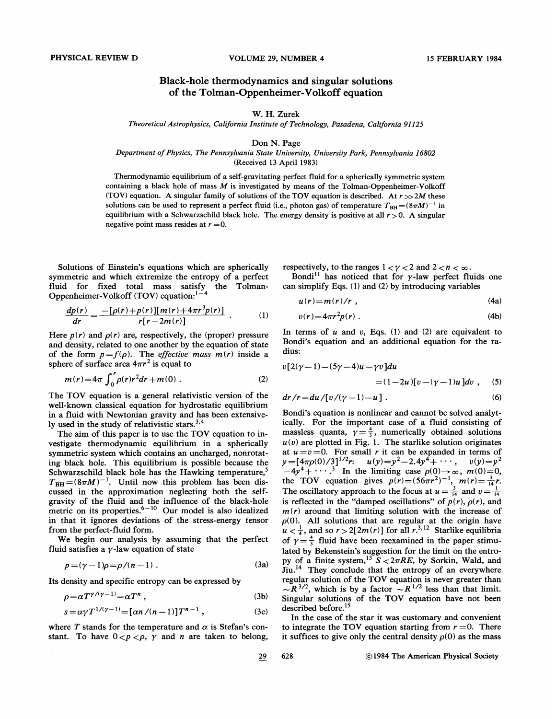## Black-hole thermodynamics and singular solutions of the Tolman-Oppenheimer-Volkoff equation

## W. H. Zurek

Theoretical Astrophysics, California Institute of Technology, Pasadena, California 91125

## Don N. Page

## Department of Physics, The Pennsylvania State University, University Park, Pennsylvania 16802 (Received 13 April 1983)

Thermodynamic equilibrium of a self-gravitating perfect fluid for a spherically symmetric system containing a black hole of mass  $M$  is investigated by means of the Tolman-Oppenheimer-Volkoff (TOV) equation. A singular family of solutions of the TOV equation is described. At  $r > > 2M$  these solutions can be used to represent a perfect fluid (i.e., photon gas) of temperature  $T_{BH} = (8\pi M)^{-1}$  in equilibrium with a Schwarzschild black hole. The energy density is positive at all  $r > 0$ . A singular negative point mass resides at  $r = 0$ .

Solutions of Einstein's equations which are spherically symmetric and which extremize the entropy of a perfect fluid for fixed total mass satisfy the Tolman-Oppenheimer-Volkoff (TOV) equation

$$
\frac{dp(r)}{dr} = \frac{-[\rho(r) + p(r)][m(r) + 4\pi r^3 p(r)]}{r[r - 2m(r)]} \tag{1}
$$

Here  $p(r)$  and  $p(r)$  are, respectively, the (proper) pressure and density, related to one another by the equation of state of the form  $p = f(\rho)$ . The *effective mass*  $m(r)$  inside a sphere of surface area  $4\pi r^2$  is equal to

$$
m(r) = 4\pi \int_0^r \rho(r)r^2 dr + m(0) \ . \tag{2}
$$

The TOV equation is a general relativistic version of the well-known classical equation for hydrostatic equilibrium in a fluid with Newtonian gravity and has been extensively used in the study of relativistic stars.<sup>3,4</sup>

The aim of this paper is to use the TOV equation to investigate thermodynamic equilibrium in a spherically symmetric system which contains an uncharged, nonrotating black hole. This equilibrium is possible because the Schwarzschild black hole has the Hawking temperature,<sup>5</sup>  $T_{\text{BH}} = (8\pi M)^{-1}$ . Until now this problem has been discussed in the approximation neglecting both the selfgravity of the fluid and the influence of the black-hole metric on its properties. $6-10$  Our model is also idealized in that it ignores deviations of the stress-energy tensor from the perfect-fluid form.

We begin our analysis by assuming that the perfect fluid satisfies a  $\gamma$ -law equation of state

$$
p = (\gamma - 1)\rho = \rho/(n - 1) \tag{3a}
$$

Its density and specific entropy can be expressed by

$$
\rho = \alpha T^{\gamma/(\gamma - 1)} = \alpha T^n \tag{3b}
$$

$$
s = \alpha \gamma T^{1/(\gamma - 1)} = [\alpha n / (n - 1)] T^{n - 1}, \qquad (3c)
$$

where T stands for the temperature and  $\alpha$  is Stefan's constant. To have  $0 < p < \rho$ ,  $\gamma$  and *n* are taken to belong, respectively, to the ranges  $1 < \gamma < 2$  and  $2 < n < \infty$ .

Bondi<sup>11</sup> has noticed that for  $\gamma$ -law perfect fluids one can simplify Eqs. (1) and (2) by introducing variables

$$
u(r)=m(r)/r \t\t(4a)
$$

$$
v(r) = 4\pi r^2 p(r) \tag{4b}
$$

In terms of  $u$  and  $v$ , Eqs. (1) and (2) are equivalent to Bondi's equation and an additional equation for the radius:

$$
v[2(\gamma-1)-(5\gamma-4)u-\gamma v]du
$$
  
= (1-2u)[v-(\gamma-1)u]dv, (5)

$$
dr/r = du/[v/(\gamma - 1) - u]. \qquad (6)
$$

Bondi's equation is nonlinear and cannot be solved analytically. For the important case of a fluid consisting of massless quanta,  $\gamma = \frac{4}{3}$ , numerically obtained solutions  $u(v)$  are plotted in Fig. 1. The starlike solution originates at  $u=v=0$ . For small r it can be expanded in terms of  $u(v)$  are plotted in Fig. 1. The starlike solution originates<br>at  $u = v = 0$ . For small r it can be expanded in terms of<br> $v = [4\pi\rho(0)/3]^{1/2}r$ :  $u(y) = y^2 - 2.4y^4 + \cdots$ ,  $v(y) = y^2$ <br> $-4y^4 + \cdots$ .<sup>3</sup> In the limiting case  $\rho(0) \rightarrow \in$  $v = [4\pi \rho(0)/3]^{1/2}r$ :  $u(y)=y^2-2.4y^2+\cdots$ ,  $v(y)=y^2$ <br>  $-4y^4+\cdots$ .<sup>3</sup> In the limiting case  $\rho(0) \rightarrow \infty$ ,  $m(0)=0$ ,<br>
the TOV equation gives  $p(r)=(56\pi r^2)^{-1}$ ,  $m(r)=\frac{3}{14}r$ . The oscillatory approach to the focus at  $u = \frac{3}{14}$  and  $v = \frac{1}{14}$ is reflected in the "damped oscillations" of  $p(r)$ ,  $\rho(r)$ , and  $m(r)$  around that limiting solution with the increase of p(0). All solutions that are regular at the origin have  $u < \frac{1}{4}$ , and so  $r > 2[2m(r)]$  for all  $r^3$ . Starlike equilibria of  $\gamma = \frac{4}{3}$  fluid have been reexamined in the paper stimulated by Bekenstein's suggestion for the limit on the entropy of a finite system,  $1^{36} S < 2\pi RE$ , by Sorkin, Wald, and liu.<sup>14</sup> They conclude that the entropy of an everywhere regular solution of the TOV equation is never greater than  $\sim R^{3/2}$ , which is by a factor  $\sim R^{1/2}$  less than that limit. Singular solutions of the TOV equation have not been described before.<sup>15</sup>

In the case of the star it was customary and convenient to integrate the TOV equation starting from  $r = 0$ . There it suffices to give only the central density  $\rho(0)$  as the mass

$$
\underline{29}
$$

628 **C** 1984 The American Physical Society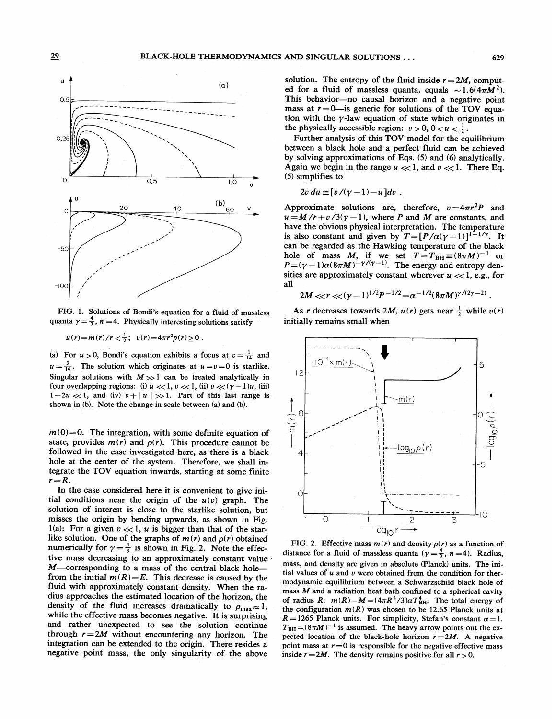



FIG. 1. Solutions of Bondi's equation for a fluid of massless quanta  $\gamma = \frac{4}{3}$ , n = 4. Physically interesting solutions satisfy

 $u(r) = m(r)/r < \frac{1}{2}$ ;  $v(r) = 4\pi r^2 p(r) \ge 0$ .

(a) For  $u > 0$ , Bondi's equation exhibits a focus at  $v = \frac{1}{14}$  and  $u = \frac{3}{14}$ . The solution which originates at  $u = v = 0$  is starlike. Singular solutions with  $M \gg 1$  can be treated analytically in four overlapping regions: (i)  $u \ll 1$ ,  $v \ll 1$ , (ii)  $v \ll (\gamma - 1)u$ , (iii)  $1-2u \ll 1$ , and (iv)  $v+|u| \gg 1$ . Part of this last range is shown in (b). Note the change in scale between (a) and (b).

 $m(0)=0$ . The integration, with some definite equation of state, provides  $m(r)$  and  $\rho(r)$ . This procedure cannot be followed in the case investigated here, as there is a black hole at the center of the system. Therefore, we shall integrate the TOV equation inwards, starting at some finite  $r = R$ .

In the case considered here it is convenient to give initial conditions near the origin of the  $u(v)$  graph. The solution of interest is close to the starlike solution, but misses the origin by bending upwards, as shown in Fig. 1(a): For a given  $v \ll 1$ , u is bigger than that of the starlike solution. One of the graphs of  $m(r)$  and  $\rho(r)$  obtained numerically for  $\gamma = \frac{4}{3}$  is shown in Fig. 2. Note the effective mass decreasing to an approximately constant value M-corresponding to a mass of the central black holefrom the initial  $m(R) = E$ . This decrease is caused by the fluid with approximately constant density. When the radius approaches the estimated location of the horizon, the density of the fluid increases dramatically to  $\rho_{\text{max}} \approx 1$ , while the effective mass becomes negative. It is surprising and rather unexpected to see the solution continue through  $r = 2M$  without encountering any horizon. The integration can be extended to the origin. There resides a negative point mass, the only singularity of the above

solution. The entropy of the fluid inside  $r = 2M$ , computed for a fluid of massless quanta, equals  $\sim 1.6(4\pi M^2)$ . This behavior-no causal horizon and a negative point mass at  $r = 0$ -is generic for solutions of the TOV equation with the  $\gamma$ -law equation of state which originates in the physically accessible region:  $v > 0$ ,  $0 < u < \frac{1}{2}$ .

Further analysis of this TOV model for the equilibrium between a black hole and a perfect fluid can be achieved by solving approximations of Eqs. (5) and (6) analytically. Again we begin in the range  $u \ll 1$ , and  $v \ll 1$ . There Eq. (5) simplifies to

$$
2v du \simeq [v/(\gamma-1)-u]dv.
$$

Approximate solutions are, therefore,  $v = 4\pi r^2 P$  and  $u = M/r + v/3(\gamma - 1)$ , where P and M are constants, and have the obvious physical interpretation. The temperature is also constant and given by  $T = [P/\alpha(\gamma - 1)]^{1-1/\gamma}$ . It can be regarded as the Hawking temperature of the black hole of mass M, if we set  $T = T_{BH} \equiv (8\pi M)^{-1}$  or<br>  $P = (\gamma - 1)\alpha(8\pi M)^{-\gamma/(\gamma - 1)}$ . The energy and entropy densities are approximately constant wherever  $u \ll 1$ , e.g., for all

$$
2M << r << (\gamma - 1)^{1/2}P^{-1/2} = \alpha^{-1/2}(8\pi M)^{\gamma/(2\gamma - 2)}
$$

As r decreases towards 2M,  $u(r)$  gets near  $\frac{1}{2}$  while  $v(r)$ initially remains small when



FIG. 2. Effective mass  $m(r)$  and density  $p(r)$  as a function of distance for a fluid of massless quanta ( $\gamma = \frac{4}{3}$ ,  $n = 4$ ). Radius, mass, and density are given in absolute (Planck) units. The initial values of  $u$  and  $v$  were obtained from the condition for thermodynamic equilibrium between a Schwarzschild black hole of mass  $M$  and a radiation heat bath confined to a spherical cavity of radius R:  $m(R) - M = (4\pi R^3/3)\alpha T_{BH}^4$ . The total energy of the configuration  $m(R)$  was chosen to be 12.65 Planck units at  $R = 1265$  Planck units. For simplicity, Stefan's constant  $\alpha = 1$ .  $T_{BH} = (8\pi M)^{-1}$  is assumed. The heavy arrow points out the expected location of the black-hole horizon  $r = 2M$ . A negative point mass at  $r = 0$  is responsible for the negative effective mass inside  $r = 2M$ . The density remains positive for all  $r > 0$ .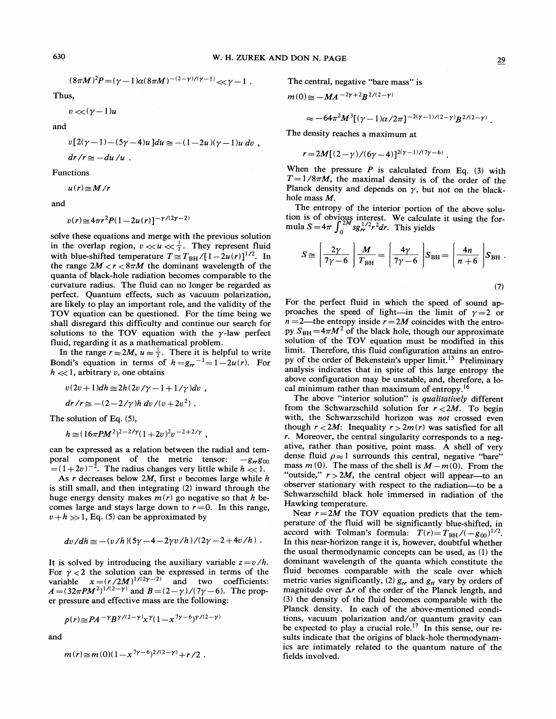$$
(8\pi M)^2 P = (\gamma - 1)\alpha (8\pi M)^{-(2-\gamma)/(\gamma-1)} < \gamma - 1.
$$

Thus,

 $v \ll (\gamma - 1)u$ 

and

 $v[2(\gamma-1)-(5\gamma-4)u]du \approx -(1-2u)(\gamma-1)u dv$ ,  $dr/r \approx -du/u$ .

Functions

 $u(r) \cong M/r$ 

and

$$
v(r) \!\cong\! 4\pi r^2 P(1-2u(r)]^{-\gamma/(2\gamma-2)}
$$

solve these equations and merge with the previous solution solve these equations and merge with the previous solution<br>in the overlap region,  $v \ll u \ll \frac{1}{2}$ . They represent fluid with blue-shifted temperature  $T \approx T_{BH}/[1-2u(r)]^{1/2}$ . In the range  $2M < r < 8\pi M$  the dominant wavelength of the quanta of black-hole radiation becomes comparable to the curvature radius. The fluid can no longer be regarded as perfect. Quantum effects, such as vacuum polarization, are likely to play an important role, and the validity of the TOV equation can be questioned. For the time being we shall disregard this difficulty and continue our search for solutions to the TOV equation with the  $\gamma$ -law perfect fluid, regarding it as a mathematical problem.

In the range  $r \approx 2M$ ,  $u \approx \frac{1}{2}$ . There it is helpful to write Bondi's equation in terms of  $h = g<sub>rr</sub>^{-1} = 1 - 2u(r)$ . For  $h \ll 1$ , arbitrary v, one obtains

 $v(2v+1)dh \approx 2h(2v/\gamma -1+1/\gamma)dv$ ,

$$
dr/r \simeq -(2-2/\gamma)h dv/(v+2v^2).
$$

The solution of Eq. (5),

$$
h \approx (16\pi P M^2)^{2-2/\gamma} (1+2v)^2 v^{-2+2/\gamma} ,
$$

can be expressed as a relation between the radial and temporal component of the metric tensor:  $-g_{rr}g_{00}$  $=(1+2v)^{-2}$ . The radius changes very little while  $h \ll 1$ .

As  $r$  decreases below 2M, first  $v$  becomes large while  $h$ is still small, and then integrating (2) inward through the huge energy density makes  $m(r)$  go negative so that h becomes large and stays large down to  $r = 0$ . In this range,  $v+h \gg 1$ , Eq. (5) can be approximated by

$$
dv/dh \simeq -(v/h)(5\gamma - 4 - 2\gamma v/h)/(2\gamma - 2 + 4v/h).
$$

It is solved by introducing the auxiliary variable  $z=v/h$ . For  $\gamma < 2$  the solution can be expressed in terms of the variable  $x = (r/2M)^{1/(2\gamma-2)}$  and two coefficients: variable  $\chi = (7/2M)$  and  $B = (2-\gamma)/(7\gamma - 6)$ . The prop-<br> $A = (32\pi PM^2)^{1/(2-\gamma)}$  and  $B = (2-\gamma)/(7\gamma - 6)$ . The proper pressure and effective mass are the following:

$$
p(r) \geq PA^{-\gamma}B^{\gamma/(2-\gamma)}x^{\gamma}(1-x^{7\gamma-6})^{\gamma/(2-\gamma)}
$$

and

$$
m(r) \approx m(0)(1-x^{7\gamma-6})^{2/(2-\gamma)} + r/2.
$$

The central, negative "bare mass" is

$$
m(0) \cong -MA^{-2\gamma+2}B^{2/(2-\gamma)}
$$

$$
\approx -64\pi^2 M^3 [(\gamma -1)\alpha/2\pi]^{-2(\gamma -1)/(2-\gamma)} B^{2/(2-\gamma)}
$$

The density reaches a maximum at

 $r = 2M[(2-\gamma)/(6\gamma-4)]^{2(\gamma-1)/(7\gamma-6)}$ .

When the pressure  $P$  is calculated from Eq. (3) with  $T=1/8\pi M$ , the maximal density is of the order of the Planck density and depends on  $\gamma$ , but not on the blackhole mass M.

The entropy of the interior portion of the above solution is of obvious interest. We calculate it using the formula  $S = 4\pi \int_0^{2M} s g_{rr}^{1/2} r^2 dr$ . This yields

$$
S \cong \left(\frac{2\gamma}{7\gamma - 6}\right) \frac{M}{T_{\text{BH}}} = \left(\frac{4\gamma}{7\gamma - 6}\right) S_{\text{BH}} = \left(\frac{4n}{n + 6}\right) S_{\text{BH}}.
$$
\n(7)

For the perfect fluid in which the speed of sound approaches the speed of light—in the limit of  $\gamma=2$  or  $n = 2$ —the entropy inside  $r = 2M$  coincides with the entropy  $S_{BH} = 4\pi M^2$  of the black hole, though our approximate solution of the TOV equation must be modified in this limit. Therefore, this fluid configuration attains an entroby of the order of Bekenstein's upper limit.<sup>13</sup> Preliminary analysis indicates that in spite of this large entropy the above configuration may be unstable, and, therefore, a local minimum rather than maximum of entropy.<sup>16</sup>

The above "interior solution" is qualitatively different from the Schwarzschild solution for  $r < 2M$ . To begin with, the Schwarzschild horizon was not crossed even though  $r < 2M$ : Inequality  $r > 2m(r)$  was satisfied for all r. Moreover, the central singularity corresponds to a negative, rather than positive, point mass. A shell of very dense fluid  $\rho \approx 1$  surrounds this central, negative "bare" mass  $m(0)$ . The mass of the shell is  $M - m(0)$ . From the "outside,"  $r > 2M$ , the central object will appear—to an observer stationary with respect to the radiation —to be <sup>a</sup> Schwarzschild black hole immersed in radiation of the Hawking temperature.

Near  $r = 2M$  the TOV equation predicts that the temperature of the fluid will be significantly blue-shifted, in accord with Tolman's formula:  $T(r) = T_{BH}/(-g_{00})^{1/2}$ . In this near-horizon range it is, however, doubtful whether the usual thermodynamic concepts can be used, as (1) the dominant wavelength of the quanta which constitute the fluid becomes comparable with the scale over which metric varies significantly, (2)  $g_{rr}$  and  $g_{tt}$  vary by orders of magnitude over  $\Delta r$  of the order of the Planck length, and (3) the density of the fluid becomes comparable with the Planck density. In each of the above-mentioned condiions, vacuum polarization and/or quantum gravity can<br>be expected to play a crucial role.<sup>17</sup> In this sense, our results indicate that the origins of black-hole thermodynamics are intimately related to the quantum nature of the fields involved.